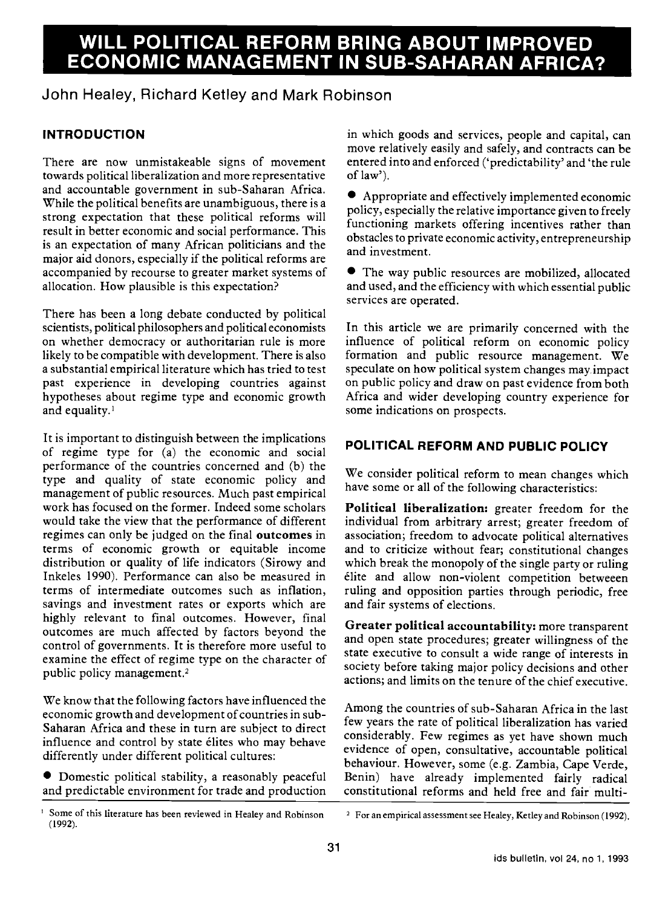# WILL POLITICAL REFORM BRING ABOUT IMPROVED ECONOMIC MANAGEMENT IN SUB-SAHARAN AFRICA?

## John Healey, Richard Ketley and Mark Robinson

## INTRODUCTION

There are now unmistakeable signs of movement towards political liberalization and more representative and accountable government in sub-Saharan Africa. While the political benefits are unambiguous, there is a strong expectation that these political reforms will result in better economic and social performance. This is an expectation of many African politicians and the major aid donors, especially if the political reforms are accompanied by recourse to greater market systems of allocation. How plausible is this expectation?

There has been a long debate conducted by political scientists, political philosophers and political economists on whether democracy or authoritarian rule is more likely to be compatible with development. There is also a substantial empirical literature which has tried to test past experience in developing countries against hypotheses about regime type and economic growth and equality.'

It is important to distinguish between the implications of regime type for (a) the economic and social performance of the countries concerned and (b) the type and quality of state economic policy and management of public resources. Much past empirical work has focused on the former. Indeed some scholars would take the view that the performance of different regimes can only be judged on the final outcomes in terms of economic growth or equitable income distribution or quality of life indicators (Sirowy and Inkeles 1990). Performance can also be measured in terms of intermediate outcomes such as inflation, savings and investment rates or exports which are highly relevant to final outcomes. However, final outcomes are much affected by factors beyond the control of governments. It is therefore more useful to examine the effect of regime type on the character of public policy management.2

We know that the following factors have influenced the economic growth and development of countries in sub-Saharan Africa and these in turn are subject to direct influence and control by state élites who may behave differently under different political cultures:

Domestic political stability, a reasonably peaceful and predictable environment for trade and production in which goods and services, people and capital, can move relatively easily and safely, and contracts can be entered into and enforced ('predictability' and 'the rule of law').

Appropriate and effectively implemented economic policy, especially the relative importance given to freely functioning markets offering incentives rather than obstacles to private economic activity, entrepreneurship and investment.

The way public resources are mobilized, allocated and used, and the efficiency with which essential public services are operated.

In this article we are primarily concerned with the influence of political reform on economic policy formation and public resource management. We speculate on how political system changes may impact on public policy and draw on past evidence from both Africa and wider developing country experience for some indications on prospects.

## POLITICAL REFORM AND PUBLIC POLICY

We consider political reform to mean changes which have some or all of the following characteristics:

Political liberalization: greater freedom for the individual from arbitrary arrest; greater freedom of association; freedom to advocate political alternatives and to criticize without fear; constitutional changes which break the monopoly of the single party or ruling élite and allow non-violent competition betweeen ruling and opposition parties through periodic, free and fair systems of elections.

Greater political accountability: more transparent and open state procedures; greater willingness of the state executive to consult a wide range of interests in society before taking major policy decisions and other actions; and limits on the tenure of the chief executive.

Among the countries of sub-Saharan Africa in the last few years the rate of political liberalization has varied considerably. Few regimes as yet have shown much evidence of open, consultative, accountable political behaviour. However, some (e.g. Zambia, Cape Verde, Benin) have already implemented fairly radical constitutional reforms and held free and fair multi-

Some of this literature has been reviewed in Healey and Robinson (1992).

<sup>2</sup> For an empirical assessment see Healey, Ketley and Robinson (1992).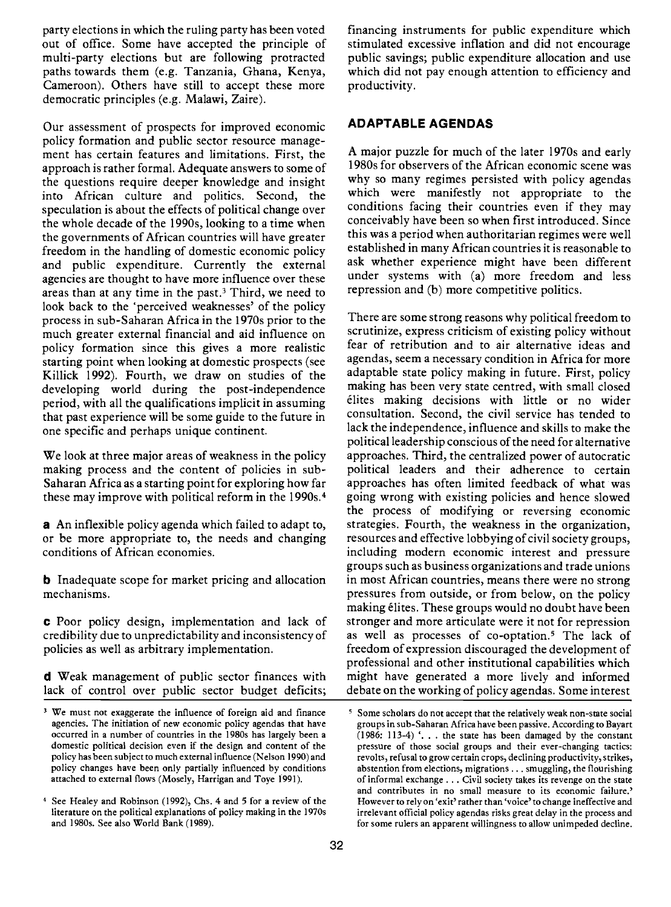party elections in which the ruling party has been voted out of office. Some have accepted the principle of multi-party elections but are following protracted paths towards them (e.g. Tanzania, Ghana, Kenya, Cameroon). Others have still to accept these more democratic principles (e.g. Malawi, Zaire).

Our assessment of prospects for improved economic policy formation and public sector resource management has certain features and limitations. First, the approach is rather formal. Adequate answers to some of the questions require deeper knowledge and insight into African culture and politics. Second, the speculation is about the effects of political change over the whole decade of the l990s, looking to a time when the governments of African countries will have greater freedom in the handling of domestic economic policy and public expenditure. Currently the external agencies are thought to have more influence over these areas than at any time in the past.3 Third, we need to look back to the 'perceived weaknesses' of the policy process in sub-Saharan Africa in the l970s prior to the much greater external financial and aid influence on policy formation since this gives a more realistic starting point when looking at domestic prospects (see Killick 1992). Fourth, we draw on studies of the developing world during the post-independence period, with all the qualifications implicit in assuming that past experience will be some guide to the future in one specific and perhaps unique continent.

We look at three major areas of weakness in the policy making process and the content of policies in sub-Saharan Africa as a starting point for exploring how far these may improve with political reform in the 1990s.<sup>4</sup>

a An inflexible policy agenda which failed to adapt to, or be more appropriate to, the needs and changing conditions of African economies.

**b** Inadequate scope for market pricing and allocation mechanisms.

C Poor policy design, implementation and lack of credibility due to unpredictability and inconsistency of policies as well as arbitrary implementation.

d Weak management of public sector finances with lack of control over public sector budget deficits;

financing instruments for public expenditure which stimulated excessive inflation and did not encourage public savings; public expenditure allocation and use which did not pay enough attention to efficiency and productivity.

#### ADAPTABLE AGENDAS

A major puzzle for much of the later l970s and early 1 980s for observers of the African economic scene was why so many regimes persisted with policy agendas which were manifestly not appropriate to the conditions facing their countries even if they may conceivably have been so when first introduced. Since this was a period when authoritarian regimes were well established in many African countries it is reasonable to ask whether experience might have been different under systems with (a) more freedom and less repression and (b) more competitive politics.

There are some strong reasons why political freedom to scrutinize, express criticism of existing policy without fear of retribution and to air alternative ideas and agendas, seem a necessary condition in Africa for more adaptable state policy making in future. First, policy making has been very state centred, with small closed élites making decisions with little or no wider consultation. Second, the civil service has tended to lack the independence, influence and skills to make the political leadership conscious of the need for alternative approaches. Third, the centralized power of autocratic political leaders and their adherence to certain approaches has often limited feedback of what was going wrong with existing policies and hence slowed the process of modifying or reversing economic strategies. Fourth, the weakness in the organization, resources and effective lobbying of civil society groups, including modern economic interest and pressure groups such as business organizations and trade unions in most African countries, means there were no strong pressures from outside, or from below, on the policy making élites. These groups would no doubt have been stronger and more articulate were it not for repression as well as processes of co-optation.5 The lack of freedom of expression discouraged the development of professional and other institutional capabilities which might have generated a more lively and informed debate on the working of policy agendas. Some interest

<sup>&</sup>lt;sup>3</sup> We must not exaggerate the influence of foreign aid and finance agencies. The initiation of new economic policy agendas that have occurred in a number of countries in the l980s has largely been a domestic political decision even if the design and content of the policy has been subject to much external influence (Nelson 1990) and policy changes have been only partially influenced by conditions attached to extemal flows (Mosely, Harrigan and Toye 1991).

<sup>&</sup>lt;sup>4</sup> See Healey and Robinson (1992), Chs. 4 and 5 for a review of the literature on the political explanations of policy making in the 1970s and 1980s. See also World Bank (1989).

<sup>&</sup>lt;sup>5</sup> Some scholars do not accept that the relatively weak non-state social groups in sub-Saharan Africa have been passive. According to Bayart (1986: 113-4) '. . . the state has been damaged by the constant pressure of those social groups and their ever-changing tactics: revolts, refusal to grow certain crops, declining productivity, strikes, abstention from elections, migrations. . . smuggling, the flourishing of informal exchange . . . Civil society takes its revenge on the state and contributes in no small measure to its economic failure.' However to rely on 'exit' rather than 'voice' to change ineffective and irrelevant official policy agendas risks great delay in the process and for some rulers an apparent willingness to allow unimpeded decline.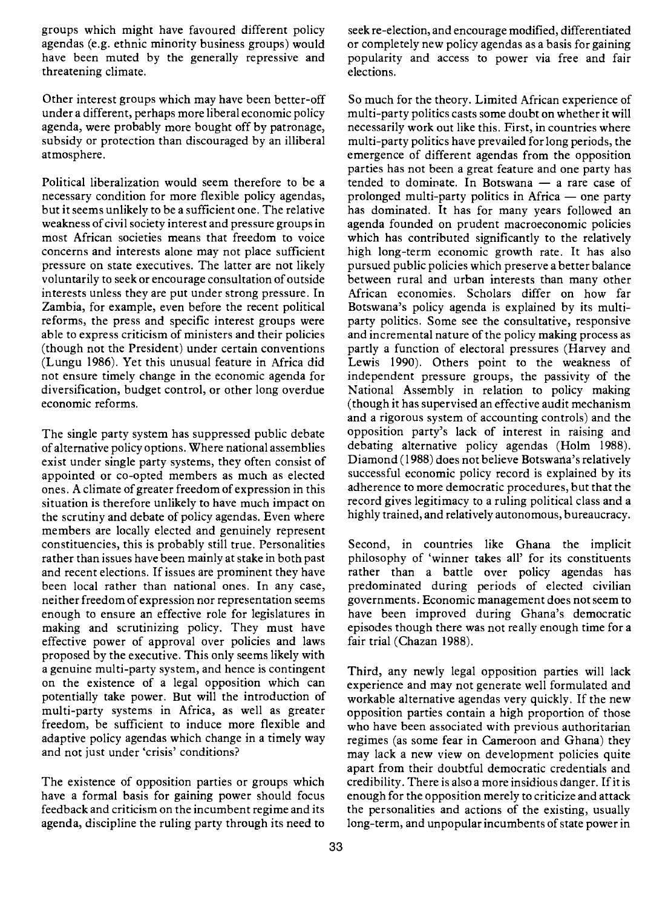groups which might have favoured different policy agendas (e.g. ethnic minority business groups) would have been muted by the generally repressive and threatening climate.

Other interest groups which may have been better-off under a different, perhaps more liberal economic policy agenda, were probably more bought off by patronage, subsidy or protection than discouraged by an illiberal atmosphere.

Political liberalization would seem therefore to be a necessary condition for more flexible policy agendas, but it seems unlikely to be a sufficient one. The relative weakness of civil society interest and pressure groups in most African societies means that freedom to voice concerns and interests alone may not place sufficient pressure on state executives. The latter are not likely voluntarily to seek or encourage consultation of outside interests unless they are put under strong pressure. In Zambia, for example, even before the recent political reforms, the press and specific interest groups were able to express criticism of ministers and their policies (though not the President) under certain conventions (Lungu 1986). Yet this unusual feature in Africa did not ensure timely change in the economic agenda for diversification, budget control, or other long overdue economic reforms.

The single party system has suppressed public debate of alternative policy options. Where national assemblies exist under single party systems, they often consist of appointed or co-opted members as much as elected ones. A climate of greater freedom of expression in this situation is therefore unlikely to have much impact on the scrutiny and debate of policy agendas. Even where members are locally elected and genuinely represent constituencies, this is probably still true. Personalities rather than issues have been mainly at stake in both past and recent elections. If issues are prominent they have been local rather than national ones. In any case, neither freedom of expression nor representation seems enough to ensure an effective role for legislatures in making and scrutinizing policy. They must have effective power of approval over policies and laws proposed by the executive. This only seems likely with a genuine multi-party system, and hence is contingent on the existence of a legal opposition which can potentially take power. But will the introduction of multi-party systems in Africa, as well as greater freedom, be sufficient to induce more flexible and adaptive policy agendas which change in a timely way and not just under 'crisis' conditions?

The existence of opposition parties or groups which have a formal basis for gaining power should focus feedback and criticism on the incumbent regime and its agenda, discipline the ruling party through its need to

seek re-election, and encourage modified, differentiated or completely new policy agendas as a basis for gaining popularity and access to power via free and fair elections.

So much for the theory. Limited African experience of multi-party politics casts some doubt on whether it will necessarily work out like this. First, in countries where multi-party politics have prevailed for long periods, the emergence of different agendas from the opposition parties has not been a great feature and one party has  $t$ ended to dominate. In Botswana  $-$  a rare case of prolonged multi-party politics in Africa  $-$  one party has dominated. It has for many years followed an agenda founded on prudent macroeconomic policies which has contributed significantly to the relatively high long-term economic growth rate. It has also pursued public policies which preserve a better balance between rural and urban interests than many other African economies. Scholars differ on how far Botswana's policy agenda is explained by its multiparty politics. Some see the consultative, responsive and incremental nature of the policy making process as partly a function of electoral pressures (Harvey and Lewis 1990). Others point to the weakness of independent pressure groups, the passivity of the National Assembly in relation to policy making (though it has supervised an effective audit mechanism and a rigorous system of accounting controls) and the opposition party's lack of interest in raising and debating alternative policy agendas (Holm 1988). Diamond (1988) does not believe Botswana's relatively successful economic policy record is explained by its adherence to more democratic procedures, but that the record gives legitimacy to a ruling political class and a highly trained, and relatively autonomous, bureaucracy.

Second, in countries like Ghana the implicit philosophy of 'winner takes all' for its constituents rather than a battle over policy agendas has predominated during periods of elected civilian governments. Economic management does not seem to have been improved during Ghana's democratic episodes though there was not really enough time for a fair trial (Chazan 1988).

Third, any newly legal opposition parties will lack experience and may not generate well formulated and workable alternative agendas very quickly. If the new opposition parties contain a high proportion of those who have been associated with previous authoritarian regimes (as some fear in Cameroon and Ghana) they may lack a new view on development policies quite apart from their doubtful democratic credentials and credibility. There is also a more insidious danger. If it is enough for the opposition merely to criticize and attack the personalities and actions of the existing, usually long-term, and unpopular incumbents of state power in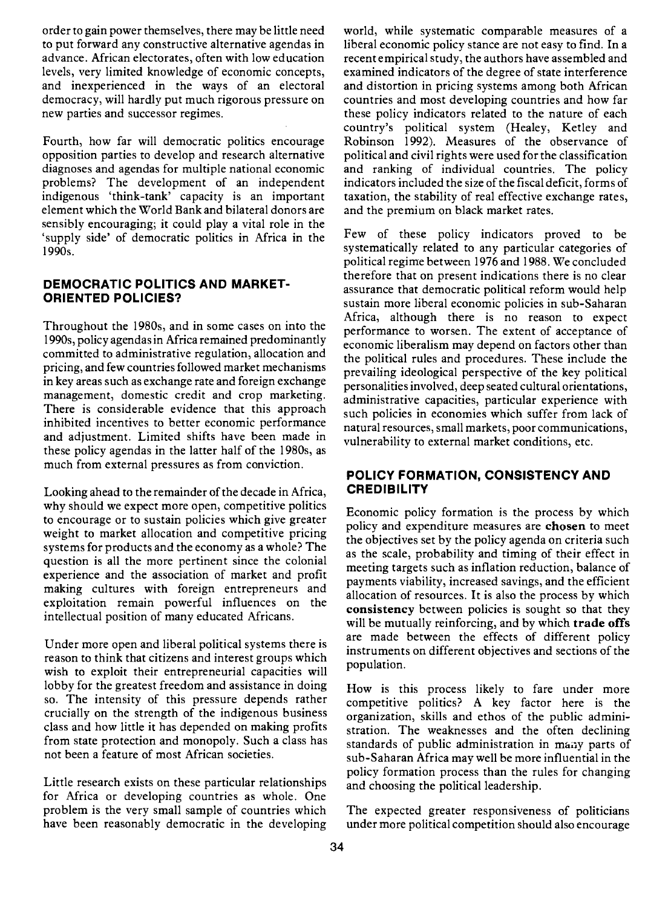order to gain power themselves, there may be little need to put forward any constructive alternative agendas in advance. African electorates, often with low education levels, very limited knowledge of economic concepts, and inexperienced in the ways of an electoral democracy, will hardly put much rigorous pressure on new parties and successor regimes.

Fourth, how far will democratic politics encourage opposition parties to develop and research alternative diagnoses and agendas for multiple national economic problems? The development of an independent indigenous 'think-tank' capacity is an important element which the World Bank and bilateral donors are sensibly encouraging; it could play a vital role in the 'supply side' of democratic politics in Africa in the 1990s.

#### DEMOCRATIC POLITICS AND MARKET-ORIENTED POLICIES?

Throughout the 1980s, and in some cases on into the 1990s, policy agendas in Africa remained predominantly committed to administrative regulation, allocation and pricing, and few countries followed market mechanisms in key areas such as exchange rate and foreign exchange management, domestic credit and crop marketing. There is considerable evidence that this approach inhibited incentives to better economic performance and adjustment. Limited shifts have been made in these policy agendas in the latter half of the 1980s, as much from external pressures as from conviction.

Looking ahead to the remainder of the decade in Africa, why should we expect more open, competitive politics to encourage or to sustain policies which give greater weight to market allocation and competitive pricing systems for products and the economy as a whole? The question is all the more pertinent since the colonial experience and the association of market and profit making cultures with foreign entrepreneurs and exploitation remain powerful influences on the intellectual position of many educated Africans.

Under more open and liberal political systems there is reason to think that citizens and interest groups which wish to exploit their entrepreneurial capacities will lobby for the greatest freedom and assistance in doing so. The intensity of this pressure depends rather crucially on the strength of the indigenous business class and how little it has depended on making profits from state protection and monopoly. Such a class has not been a feature of most African societies.

Little research exists on these particular relationships for Africa or developing countries as whole. One problem is the very small sample of countries which have been reasonably democratic in the developing world, while systematic comparable measures of a liberal economic policy stance are not easy to find. In a recent empirical study, the authors have assembled and examined indicators of the degree of state interference and distortion in pricing systems among both African countries and most developing countries and how far these policy indicators related to the nature of each country's political system (Healey, Ketley and Robinson 1992). Measures of the observance of political and civil rights were used for the classification and ranking of individual countries. The policy indicators included the size of the fiscal deficit, forms of taxation, the stability of real effective exchange rates, and the premium on black market rates.

Few of these policy indicators proved to be systematically related to any particular categories of political regime between 1976 and 1988. We concluded therefore that on present indications there is no clear assurance that democratic political reform would help sustain more liberal economic policies in sub-Saharan Africa, although there is no reason to expect performance to worsen. The extent of acceptance of economic liberalism may depend on factors other than the political rules and procedures. These include the prevailing ideological perspective of the key political personalities involved, deep seated cultural orientations, administrative capacities, particular experience with such policies in economies which suffer from lack of natural resources, small markets, poor communications, vulnerability to external market conditions, etc.

#### POLICY FORMATION, CONSISTENCY AND **CREDIBILITY**

Economic policy formation is the process by which policy and expenditure measures are chosen to meet the objectives set by the policy agenda on criteria such as the scale, probability and timing of their effect in meeting targets such as inflation reduction, balance of payments viability, increased savings, and the efficient allocation of resources. It is also the process by which consistency between policies is sought so that they will be mutually reinforcing, and by which trade offs are made between the effects of different policy instruments on different objectives and sections of the population.

How is this process likely to fare under more competitive politics? A key factor here is the organization, skills and ethos of the public administration. The weaknesses and the often declining standards of public administration in many parts of sub-Saharan Africa may well be more influential in the policy formation process than the rules for changing and choosing the political leadership.

The expected greater responsiveness of politicians under more political competition should also encourage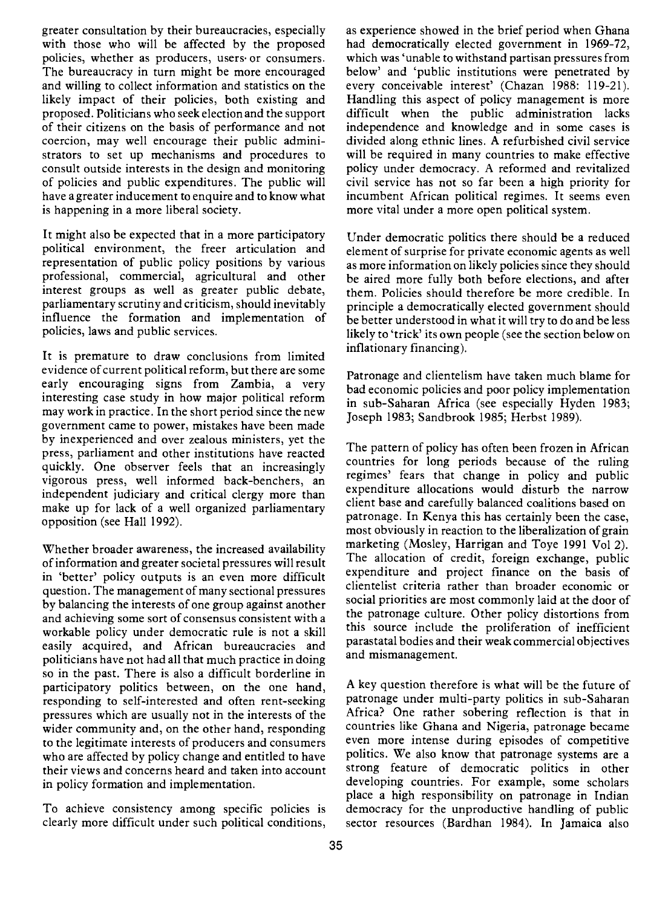greater consultation by their bureaucracies, especially with those who will be affected by the proposed policies, whether as producers, users or consumers. The bureaucracy in turn might be more encouraged and willing to collect information and statistics on the likely impact of their policies, both existing and proposed. Politicians who seek election and the support of their citizens on the basis of performance and not coercion, may well encourage their public administrators to set up mechanisms and procedures to consult outside interests in the design and monitoring of policies and public expenditures. The public will have a greater inducement to enquire and to know what is happening in a more liberal society.

It might also be expected that in a more participatory political environment, the freer articulation and representation of public policy positions by various professional, commercial, agricultural and other interest groups as well as greater public debate, parliamentary scrutiny and criticism, should inevitably influence the formation and implementation of policies, laws and public services.

It is premature to draw conclusions from limited evidence of current political reform, but there are some early encouraging signs from Zambia, a very interesting case study in how major political reform may work in practice. In the short period since the new government came to power, mistakes have been made by inexperienced and over zealous ministers, yet the press, parliament and other institutions have reacted quickly. One observer feels that an increasingly vigorous press, well informed back-benchers, an independent judiciary and critical clergy more than make up for lack of a well organized parliamentary opposition (see Hall 1992).

Whether broader awareness, the increased availability of information and greater societal pressures will result in 'better' policy outputs is an even more difficult question. The management of many sectional pressures by balancing the interests of one group against another and achieving some sort of consensus consistent with a workable policy under democratic rule is not a skill easily acquired, and African bureaucracies and politicians have not had all that much practice in doing so in the past. There is also a difficult borderline in participatory politics between, on the one hand, responding to self-interested and often rent-seeking pressures which are usually not in the interests of the wider community and, on the other hand, responding to the legitimate interests of producers and consumers who are affected by policy change and entitled to have their views and concerns heard and taken into account in policy formation and implementation.

To achieve consistency among specific policies is clearly more difficult under such political conditions,

as experience showed in the brief period when Ghana had democratically elected government in 1969-72, which was 'unable to withstand partisan pressures from below' and 'public institutions were penetrated by every conceivable interest' (Chazan 1988: 119-21). Handling this aspect of policy management is more difficult when the public administration lacks independence and knowledge and in some cases is divided along ethnic lines. A refurbished civil service will be required in many countries to make effective policy under democracy. A reformed and revitalized civil service has not so far been a high priority for incumbent African political regimes. It seems even more vital under a more open political system.

Under democratic politics there should be a reduced element of surprise for private economic agents as well as more information on likely policies since they should be aired more fully both before elections, and after them. Policies should therefore be more credible. In principle a democratically elected government should be better understood in what it will try to do and be less likely to 'trick' its own people (see the section below on inflationary financing).

Patronage and clientelism have taken much blame for bad economic policies and poor policy implementation in sub-Saharan Africa (see especially Hyden 1983; Joseph 1983; Sandbrook 1985; Herbst 1989).

The pattern of policy has often been frozen in African countries for long periods because of the ruling regimes' fears that change in policy and public expenditure allocations would disturb the narrow client base and carefully balanced coalitions based on patronage. In Kenya this has certainly been the case, most obviously in reaction to the liberalization of grain marketing (Mosley, Harrigan and Toye 1991 Vol 2). The allocation of credit, foreign exchange, public expenditure and project finance on the basis of clientelist criteria rather than broader economic or social priorities are most commonly laid at the door of the patronage culture. Other policy distortions from this source include the proliferation of inefficient parastatal bodies and their weak commercial objectives and mismanagement.

A key question therefore is what will be the future of patronage under multi-party politics in sub-Saharan Africa? One rather sobering reflection is that in countries like Ghana and Nigeria, patronage became even more intense during episodes of competitive politics. We also know that patronage systems are a strong feature of democratic politics in other developing countries. For example, some scholars place a high responsibility on patronage in Indian democracy for the unproductive handling of public sector resources (Bardhan 1984). In Jamaica also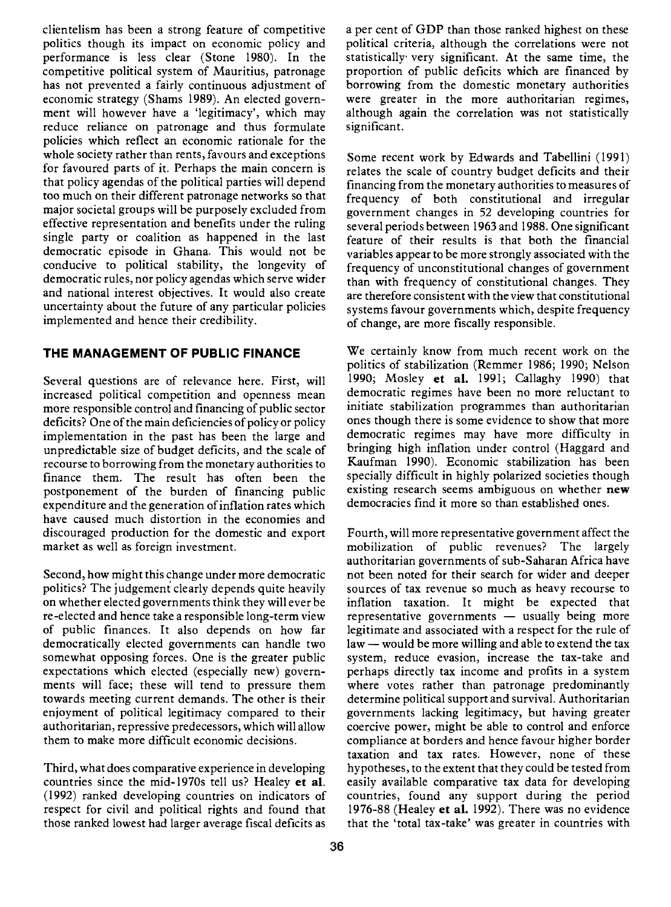clientelism has been a strong feature of competitive politics though its impact on economic policy and performance is less clear (Stone 1980). In the competitive political system of Mauritius, patronage has not prevented a fairly continuous adjustment of economic strategy (Shams 1989). An elected government will however have a 'legitimacy', which may reduce reliance on patronage and thus formulate policies which reflect an economic rationale for the whole society rather than rents, favours and exceptions for favoured parts of it. Perhaps the main concern is that policy agendas of the political parties will depend too much on their different patronage networks so that major societal groups will be purposely excluded from effective representation and benefits under the ruling single party or coalition as happened in the last democratic episode in Ghana. This would not be conducive to political stability, the longevity of democratic rules, nor policy agendas which serve wider and national interest objectives. It would also create uncertainty about the future of any particular policies implemented and hence their credibility.

### THE MANAGEMENT OF PUBLIC FINANCE

Several questions are of relevance here. First, will increased political competition and openness mean more responsible control and financing of public sector deficits? One of the main deficiencies of policy or policy implementation in the past has been the large and unpredictable size of budget deficits, and the scale of recourse to borrowing from the monetary authorities to finance them. The result has often been the postponement of the burden of financing public expenditure and the generation of inflation rates which have caused much distortion in the economies and discouraged production for the domestic and export market as well as foreign investment.

Second, how might this change under more democratic politics? The judgement clearly depends quite heavily on whether elected governments think they will ever be re-elected and hence take a responsible long-term view of public finances. It also depends on how far democratically elected governments can handle two somewhat opposing forces. One is the greater public expectations which elected (especially new) governments will face; these will tend to pressure them towards meeting current demands. The other is their enjoyment of political legitimacy compared to their authoritarian, repressive predecessors, which will allow them to make more difficult economic decisions.

Third, what does comparative experience in developing countries since the mid-1970s tell us? Healey et al. (1992) ranked developing countries on indicators of respect for civil and political rights and found that those ranked lowest had larger average fiscal deficits as

a per cent of GDP than those ranked highest on these political criteria, although the correlations were not statistically very significant. At the same time, the proportion of public deficits which are financed by borrowing from the domestic monetary authorities were greater in the more authoritarian regimes, although again the correlation was not statistically significant.

Some recent work by Edwards and Tabellini (1991) relates the scale of country budget deficits and their financing from the monetary authorities to measures of frequency of both constitutional and irregular government changes in 52 developing countries for several periods between 1963 and 1988. One significant feature of their results is that both the financial variables appear to be more strongly associated with the frequency of unconstitutional changes of government than with frequency of constitutional changes. They are therefore consistent with the view that constitutional systems favour governments which, despite frequency of change, are more fiscally responsible.

We certainly know from much recent work on the politics of stabilization (Remmer 1986; 1990; Nelson 1990; Mosley et al. 1991; Callaghy 1990) that democratic regimes have been no more reluctant to initiate stabilization programmes than authoritarian ones though there is some evidence to show that more democratic regimes may have more difficulty in bringing high inflation under control (Haggard and Kaufman 1990). Economic stabilization has been specially difficult in highly polarized societies though existing research seems ambiguous on whether new democracies find it more so than established ones.

Fourth, will more representative government affect the mobilization of public revenues? The largely authoritarian governments of sub-Saharan Africa have not been noted for their search for wider and deeper sources of tax revenue so much as heavy recourse to inflation taxation. It might be expected that  $representative$  governments  $-$  usually being more legitimate and associated with a respect for the rule of  $law$  - would be more willing and able to extend the tax system, reduce evasion, increase the tax-take and perhaps directly tax income and profits in a system where votes rather than patronage predominantly determine political support and survival. Authoritarian governments lacking legitimacy, but having greater coercive power, might be able to control and enforce compliance at borders and hence favour higher border taxation and tax rates. However, none of these hypotheses, to the extent that they could be tested from easily available comparative tax data for developing countries, found any support during the period 1976-88 (Healey et al. 1992). There was no evidence that the 'total tax-take' was greater in countries with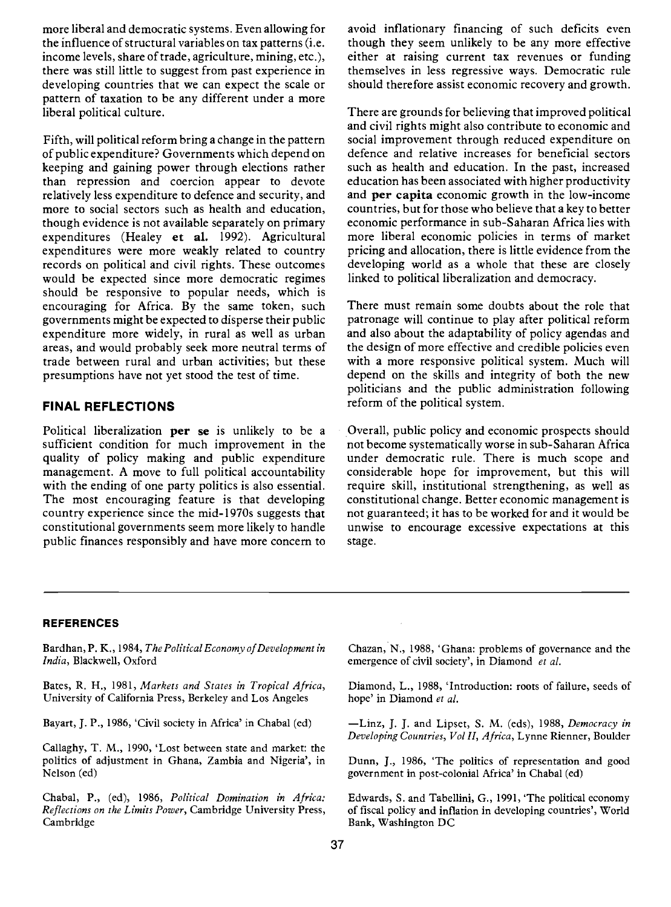more liberal and democratic systems. Even allowing for the influence of structural variables on tax patterns (i.e. income levels, share of trade, agriculture, mining, etc.), there was still little to suggest from past experience in developing countries that we can expect the scale or pattern of taxation to be any different under a more liberal political culture.

Fifth, will political reform bring a change in the pattern of public expenditure? Governments which depend on keeping and gaining power through elections rather than repression and coercion appear to devote relatively less expenditure to defence and security, and more to social sectors such as health and education, though evidence is not available separately on primary expenditures (Healey et al. 1992). Agricultural expenditures were more weakly related to country records on political and civil rights. These outcomes would be expected since more democratic regimes should be responsive to popular needs, which is encouraging for Africa. By the same token, such governments might be expected to disperse their public expenditure more widely, in rural as well as urban areas, and would probably seek more neutral terms of trade between rural and urban activities; but these presumptions have not yet stood the test of time.

#### FINAL REFLECTIONS

Political liberalization per se is unlikely to be a sufficient condition for much improvement in the quality of policy making and public expenditure management. A move to full political accountability with the ending of one party politics is also essential. The most encouraging feature is that developing country experience since the mid- 1 970s suggests that constitutional governments seem more likely to handle public finances responsibly and have more concern to avoid inflationary financing of such deficits even though they seem unlikely to be any more effective either at raising current tax revenues or funding themselves in less regressive ways. Democratic rule should therefore assist economic recovery and growth.

There are grounds for believing that improved political and civil rights might also contribute to economic and social improvement through reduced expenditure on defence and relative increases for beneficial sectors such as health and education. In the past, increased education has been associated with higher productivity and per capita economic growth in the low-income countries, but for those who believe that a key to better economic performance in sub-Saharan Africa lies with more liberal economic policies in terms of market pricing and allocation, there is little evidence from the developing world as a whole that these are closely linked to political liberalization and democracy.

There must remain some doubts about the role that patronage will continue to play after political reform and also about the adaptability of policy agendas and the design of more effective and credible policies even with a more responsive political system. Much will depend on the skills and integrity of both the new politicians and the public administration following reform of the political system.

Overall, public policy and economic prospects should not become systematically worse in sub-Saharan Africa under democratic rule. There is much scope and considerable hope for improvement, but this will require skill, institutional strengthening, as well as constitutional change. Better economic management is not guaranteed; it has to be worked for and it would be unwise to encourage excessive expectations at this stage.

#### REFERENCES

Bardhan, P. K., 1984, The Political Economy of Development in India, Blackwell, Oxford

Bates, R. H., 1981, Markets and States in Tropical Africa, University of California Press, Berkeley and Los Angeles

Bayart, J. P., 1986, 'Civil society in Africa' in Chabal (cd)

Callaghy, T. M., 1990, 'Lost between state and market: the politics of adjustment in Ghana, Zambia and Nigeria', in Nelson (ed)

Chabal, P., (cd), 1986, Political Domination in Africa: Reflections on the Limits Power, Cambridge University Press, Cambridge

Chazan, N., 1988, 'Ghana: problems of governance and the emergence of civil society', in Diamond et al.

Diamond, L., 1988, 'Introduction: roots of failure, seeds of hope' in Diamond et al.

-Linz, J. J. and Lipset, S. M. (eds), 1988, Democracy in Developing Countries, Vol II, Africa, Lynne Rienner, Boulder

Dunn, J., 1986, 'The politics of representation and good government in post-colonial Africa' in Chabal (cd)

Edwards, S. and Tabellini, G., 1991, 'The political economy of fiscal policy and inflation in developing countries', World Bank, Washington DC